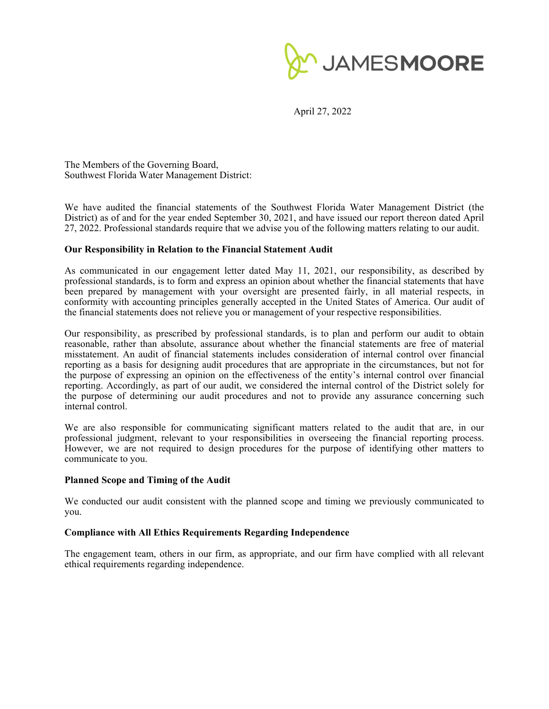

April 27, 2022

The Members of the Governing Board, Southwest Florida Water Management District:

We have audited the financial statements of the Southwest Florida Water Management District (the District) as of and for the year ended September 30, 2021, and have issued our report thereon dated April 27, 2022. Professional standards require that we advise you of the following matters relating to our audit.

## **Our Responsibility in Relation to the Financial Statement Audit**

As communicated in our engagement letter dated May 11, 2021, our responsibility, as described by professional standards, is to form and express an opinion about whether the financial statements that have been prepared by management with your oversight are presented fairly, in all material respects, in conformity with accounting principles generally accepted in the United States of America. Our audit of the financial statements does not relieve you or management of your respective responsibilities.

Our responsibility, as prescribed by professional standards, is to plan and perform our audit to obtain reasonable, rather than absolute, assurance about whether the financial statements are free of material misstatement. An audit of financial statements includes consideration of internal control over financial reporting as a basis for designing audit procedures that are appropriate in the circumstances, but not for the purpose of expressing an opinion on the effectiveness of the entity's internal control over financial reporting. Accordingly, as part of our audit, we considered the internal control of the District solely for the purpose of determining our audit procedures and not to provide any assurance concerning such internal control.

We are also responsible for communicating significant matters related to the audit that are, in our professional judgment, relevant to your responsibilities in overseeing the financial reporting process. However, we are not required to design procedures for the purpose of identifying other matters to communicate to you.

### **Planned Scope and Timing of the Audit**

We conducted our audit consistent with the planned scope and timing we previously communicated to you.

### **Compliance with All Ethics Requirements Regarding Independence**

The engagement team, others in our firm, as appropriate, and our firm have complied with all relevant ethical requirements regarding independence.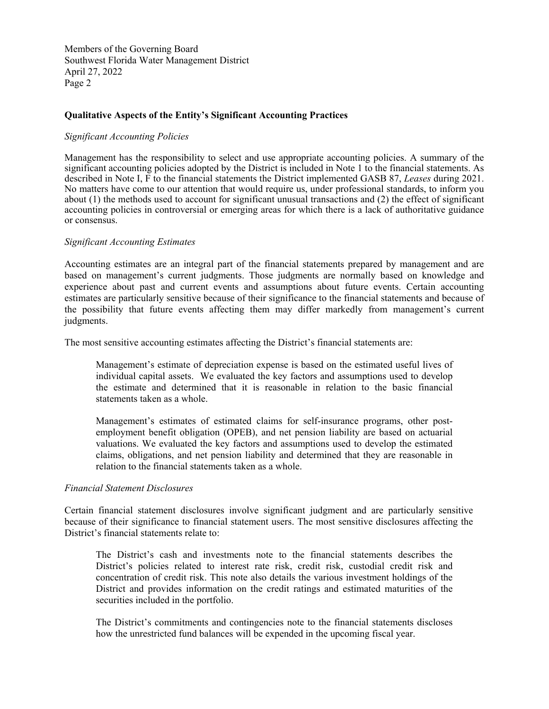Members of the Governing Board Southwest Florida Water Management District April 27, 2022 Page 2

## **Qualitative Aspects of the Entity's Significant Accounting Practices**

### *Significant Accounting Policies*

Management has the responsibility to select and use appropriate accounting policies. A summary of the significant accounting policies adopted by the District is included in Note 1 to the financial statements. As described in Note I, F to the financial statements the District implemented GASB 87, *Leases* during 2021. No matters have come to our attention that would require us, under professional standards, to inform you about (1) the methods used to account for significant unusual transactions and (2) the effect of significant accounting policies in controversial or emerging areas for which there is a lack of authoritative guidance or consensus.

### *Significant Accounting Estimates*

Accounting estimates are an integral part of the financial statements prepared by management and are based on management's current judgments. Those judgments are normally based on knowledge and experience about past and current events and assumptions about future events. Certain accounting estimates are particularly sensitive because of their significance to the financial statements and because of the possibility that future events affecting them may differ markedly from management's current judgments.

The most sensitive accounting estimates affecting the District's financial statements are:

Management's estimate of depreciation expense is based on the estimated useful lives of individual capital assets. We evaluated the key factors and assumptions used to develop the estimate and determined that it is reasonable in relation to the basic financial statements taken as a whole.

Management's estimates of estimated claims for self-insurance programs, other postemployment benefit obligation (OPEB), and net pension liability are based on actuarial valuations. We evaluated the key factors and assumptions used to develop the estimated claims, obligations, and net pension liability and determined that they are reasonable in relation to the financial statements taken as a whole.

### *Financial Statement Disclosures*

Certain financial statement disclosures involve significant judgment and are particularly sensitive because of their significance to financial statement users. The most sensitive disclosures affecting the District's financial statements relate to:

The District's cash and investments note to the financial statements describes the District's policies related to interest rate risk, credit risk, custodial credit risk and concentration of credit risk. This note also details the various investment holdings of the District and provides information on the credit ratings and estimated maturities of the securities included in the portfolio.

The District's commitments and contingencies note to the financial statements discloses how the unrestricted fund balances will be expended in the upcoming fiscal year.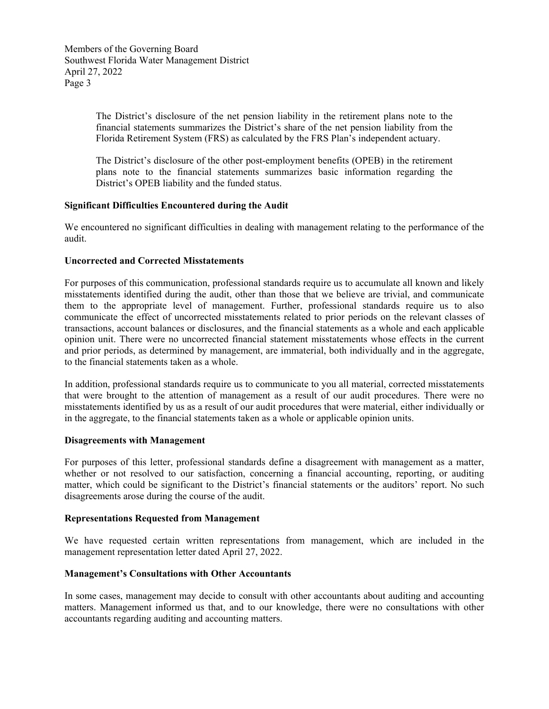Members of the Governing Board Southwest Florida Water Management District April 27, 2022 Page 3

> The District's disclosure of the net pension liability in the retirement plans note to the financial statements summarizes the District's share of the net pension liability from the Florida Retirement System (FRS) as calculated by the FRS Plan's independent actuary.

> The District's disclosure of the other post-employment benefits (OPEB) in the retirement plans note to the financial statements summarizes basic information regarding the District's OPEB liability and the funded status.

# **Significant Difficulties Encountered during the Audit**

We encountered no significant difficulties in dealing with management relating to the performance of the audit.

## **Uncorrected and Corrected Misstatements**

For purposes of this communication, professional standards require us to accumulate all known and likely misstatements identified during the audit, other than those that we believe are trivial, and communicate them to the appropriate level of management. Further, professional standards require us to also communicate the effect of uncorrected misstatements related to prior periods on the relevant classes of transactions, account balances or disclosures, and the financial statements as a whole and each applicable opinion unit. There were no uncorrected financial statement misstatements whose effects in the current and prior periods, as determined by management, are immaterial, both individually and in the aggregate, to the financial statements taken as a whole.

In addition, professional standards require us to communicate to you all material, corrected misstatements that were brought to the attention of management as a result of our audit procedures. There were no misstatements identified by us as a result of our audit procedures that were material, either individually or in the aggregate, to the financial statements taken as a whole or applicable opinion units.

### **Disagreements with Management**

For purposes of this letter, professional standards define a disagreement with management as a matter, whether or not resolved to our satisfaction, concerning a financial accounting, reporting, or auditing matter, which could be significant to the District's financial statements or the auditors' report. No such disagreements arose during the course of the audit.

### **Representations Requested from Management**

We have requested certain written representations from management, which are included in the management representation letter dated April 27, 2022.

### **Management's Consultations with Other Accountants**

In some cases, management may decide to consult with other accountants about auditing and accounting matters. Management informed us that, and to our knowledge, there were no consultations with other accountants regarding auditing and accounting matters.